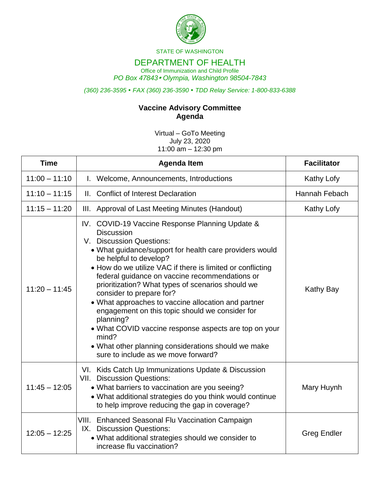

STATE OF WASHINGTON

## DEPARTMENT OF HEALTH

Office of Immunization and Child Profile *PO Box 47843 Olympia, Washington 98504-7843*

*(360) 236-3595 FAX (360) 236-3590 TDD Relay Service: 1-800-833-6388*

## **Vaccine Advisory Committee Agenda**

Virtual – GoTo Meeting July 23, 2020 11:00  $am - 12:30$  pm

| <b>Time</b>     | <b>Agenda Item</b>                                                                                                                                                                                                                                                                                                                                                                                                                                                                                                                                                                                                                                                            | <b>Facilitator</b> |
|-----------------|-------------------------------------------------------------------------------------------------------------------------------------------------------------------------------------------------------------------------------------------------------------------------------------------------------------------------------------------------------------------------------------------------------------------------------------------------------------------------------------------------------------------------------------------------------------------------------------------------------------------------------------------------------------------------------|--------------------|
| $11:00 - 11:10$ | I. Welcome, Announcements, Introductions                                                                                                                                                                                                                                                                                                                                                                                                                                                                                                                                                                                                                                      | Kathy Lofy         |
| $11:10 - 11:15$ | II. Conflict of Interest Declaration                                                                                                                                                                                                                                                                                                                                                                                                                                                                                                                                                                                                                                          | Hannah Febach      |
| $11:15 - 11:20$ | III. Approval of Last Meeting Minutes (Handout)                                                                                                                                                                                                                                                                                                                                                                                                                                                                                                                                                                                                                               | Kathy Lofy         |
| $11:20 - 11:45$ | IV. COVID-19 Vaccine Response Planning Update &<br><b>Discussion</b><br>V. Discussion Questions:<br>• What guidance/support for health care providers would<br>be helpful to develop?<br>• How do we utilize VAC if there is limited or conflicting<br>federal guidance on vaccine recommendations or<br>prioritization? What types of scenarios should we<br>consider to prepare for?<br>• What approaches to vaccine allocation and partner<br>engagement on this topic should we consider for<br>planning?<br>• What COVID vaccine response aspects are top on your<br>mind?<br>• What other planning considerations should we make<br>sure to include as we move forward? | Kathy Bay          |
| $11:45 - 12:05$ | VI. Kids Catch Up Immunizations Update & Discussion<br><b>VII. Discussion Questions:</b><br>• What barriers to vaccination are you seeing?<br>• What additional strategies do you think would continue<br>to help improve reducing the gap in coverage?                                                                                                                                                                                                                                                                                                                                                                                                                       | Mary Huynh         |
| $12:05 - 12:25$ | VIII. Enhanced Seasonal Flu Vaccination Campaign<br>IX. Discussion Questions:<br>• What additional strategies should we consider to<br>increase flu vaccination?                                                                                                                                                                                                                                                                                                                                                                                                                                                                                                              | <b>Greg Endler</b> |